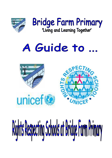



### Guide to  $\sqrt{4}$



# Rights Respecting Schools at Bridge Farm Primary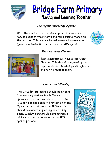![](_page_1_Picture_0.jpeg)

## Bridge Farm Primary 'Living and Learning Together'

#### **The Rights Respecting Agenda**

With the start of each academic year, it is necessary to remind pupils of their rights and familiarising them with the articles. This may involve using exemplar resources (games / activities) to refocus on the RRS agenda.

![](_page_1_Picture_4.jpeg)

![](_page_1_Picture_5.jpeg)

#### **The Classroom Charter**

Each classroom will have a RRS Class Charter. This should be agreed by the pupils and refer to what pupils rights are and how to respect them.

#### **Lessons and Planning**

The UNICEF RRS agenda should be evident in everything that we teach. Where appropriate, lessons will directly refer to RRS articles and pupils will reflect on these. Opportunity to address the RRS agenda should be evident in planning on a termly basis. Weekly plans should demonstrate a minimum of two references to the RRS agenda per week.

![](_page_1_Picture_10.jpeg)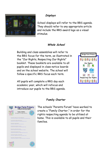![](_page_2_Picture_0.jpeg)

#### **Displays**

School displays will refer to the RRS agenda. They should refer to any appropriate article and include the RRS award logo as a visual stimulus.

#### **Whole School**

Building and class assemblies will refer to the RRS focus for the term, as illustrated in the "Our Rights, Respecting Our Rights" booklet. These booklets are available to all pupils and displayed in class notice boards and on the school website. The school will follow a specific RRS focus each term.

![](_page_2_Picture_5.jpeg)

All pupils will complete a RRS day each academic year, which will refocus and introduce our pupils to the RRS agenda.

#### **Bridge Farm Primary** 'Living and Learning Together Family Charter Our Rights Our Responsibilities

.<br>Got to a caring, lowing and happy home<br>creasership to behave absoluted to .<br>The rights to be affected secure:<br>The resourch like to let a bent immediated that are .<br>Isa respectability to lister and talk nice)<br>Isa respectability to lister and talk nice) les the right to their awn apinion.<br>Institue responsibility to respect other people's idea .<br>Sa right to clien imvironment.<br>Espensible for putting things owly and tidying up. .<br>has the right toplay and relax.<br>has the responsibility for respecting acchiothers free t is the right to a well liabroad diet<br>iso responsibility to eat a variety of different foods .<br>Inse right to personal belongings.<br>Ins the responsibility to look of far their things and value the **Family Charter**

The schools "Parents Forum" have worked to create a "Family Charter," in order for the rights respecting agenda to be utilised at home. This is available to all pupils and their families.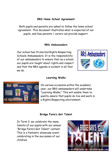#### **RRS Home School Agreement**

Both pupils and parents are asked to follow the home school agreement. This document illustrates what is expected of our pupils, and how parents / carers can provide support.

#### **RRS Ambassadors**

Our school has 14 elected Rights Respecting Schools Ambassadors. It is the responsibility of our ambassadors to ensure that as a school, our pupils are taught about rights and respect and that the RRS agenda is evident in all that we do.

![](_page_3_Picture_4.jpeg)

![](_page_3_Picture_5.jpeg)

#### **Learning Walks**

On various occasions within the academic year, our RRS ambassadors will undertake "Learning Walks." This will enable them to quality assure that pupils do live and work in a Rights Respecting environment.

#### **Bridge Farm's Got Talent**

In Term 3, we celebrate the many talents of our pupils with our annual "Bridge Farm's Got Talent" contest. This is a fantastic showcase event, celebrating in the successes of our children.

![](_page_3_Picture_10.jpeg)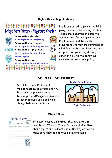#### **Rights Respecting Playtimes**

![](_page_4_Picture_1.jpeg)

Pupils are asked to follow the RRS playground charter during playtimes. These are displayed on both the Meadow and Orchard playgrounds. Pupils who do not follow the playground charter are reminded of what is expected and how they can respect everyone's rights. Any sanction follows the behaviour, rewards and sanctions policy.

#### **Pupil Voice – Pupil Parliament**

Our school Pupil Parliament members sit twice a term and try to support pupils who are not following the RRS agenda, in order to listen to pupil voice and help change behaviour patterns.

![](_page_4_Picture_5.jpeg)

#### **Missed Plays**

![](_page_4_Picture_7.jpeg)

If a pupil misses a playtime, they are asked to complete a "Time to Think" form, reminding them about rights and respect and reflecting on how to make sure they do not miss a playtime again.